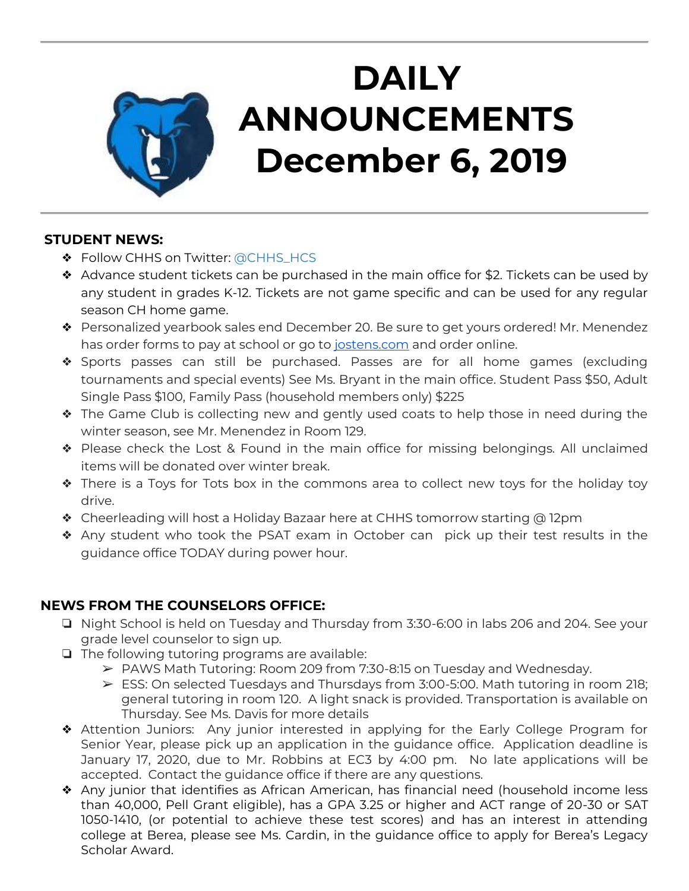

# **DAILY ANNOUNCEMENTS December 6, 2019**

#### **STUDENT NEWS:**

- ❖ Follow CHHS on Twitter: [@CHHS\\_HCS](https://twitter.com/CHHS_HCS)
- ❖ Advance student tickets can be purchased in the main office for \$2. Tickets can be used by any student in grades K-12. Tickets are not game specific and can be used for any regular season CH home game.
- ❖ Personalized yearbook sales end December 20. Be sure to get yours ordered! Mr. Menendez has order forms to pay at school or go to [jostens.com](http://jostens.com/) and order online.
- ❖ Sports passes can still be purchased. Passes are for all home games (excluding tournaments and special events) See Ms. Bryant in the main office. Student Pass \$50, Adult Single Pass \$100, Family Pass (household members only) \$225
- ❖ The Game Club is collecting new and gently used coats to help those in need during the winter season, see Mr. Menendez in Room 129.
- ❖ Please check the Lost & Found in the main office for missing belongings. All unclaimed items will be donated over winter break.
- ❖ There is a Toys for Tots box in the commons area to collect new toys for the holiday toy drive.
- ❖ Cheerleading will host a Holiday Bazaar here at CHHS tomorrow starting @ 12pm
- ❖ Any student who took the PSAT exam in October can pick up their test results in the guidance office TODAY during power hour.

## **NEWS FROM THE COUNSELORS OFFICE:**

- ❏ Night School is held on Tuesday and Thursday from 3:30-6:00 in labs 206 and 204. See your grade level counselor to sign up.
- ❏ The following tutoring programs are available:
	- $\triangleright$  PAWS Math Tutoring: Room 209 from 7:30-8:15 on Tuesday and Wednesday.
	- $\triangleright$  ESS: On selected Tuesdays and Thursdays from 3:00-5:00. Math tutoring in room 218; general tutoring in room 120. A light snack is provided. Transportation is available on Thursday. See Ms. Davis for more details
- ❖ Attention Juniors: Any junior interested in applying for the Early College Program for Senior Year, please pick up an application in the guidance office. Application deadline is January 17, 2020, due to Mr. Robbins at EC3 by 4:00 pm. No late applications will be accepted. Contact the guidance office if there are any questions.
- ❖ Any junior that identifies as African American, has financial need (household income less than 40,000, Pell Grant eligible), has a GPA 3.25 or higher and ACT range of 20-30 or SAT 1050-1410, (or potential to achieve these test scores) and has an interest in attending college at Berea, please see Ms. Cardin, in the guidance office to apply for Berea's Legacy Scholar Award.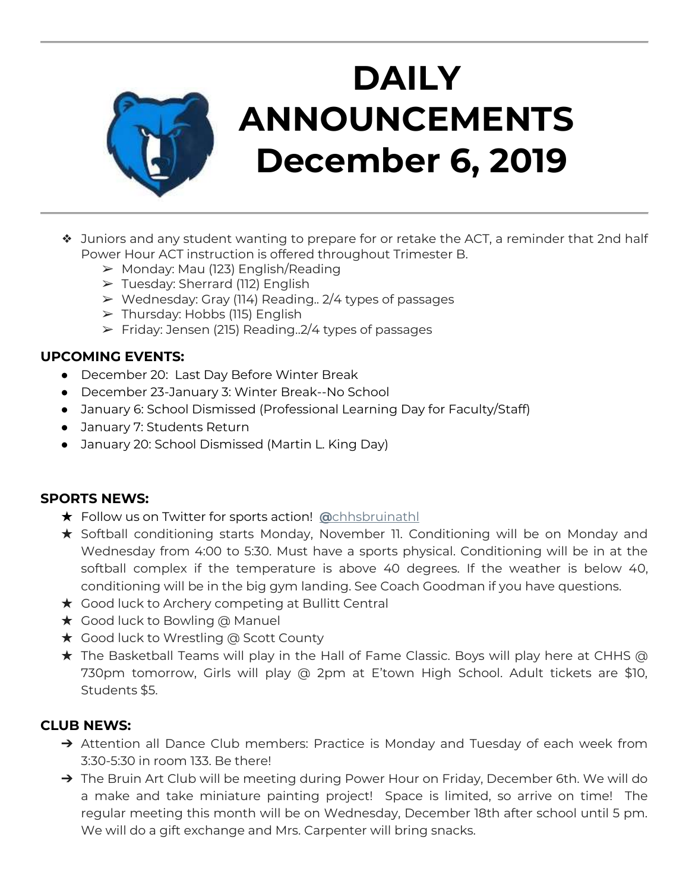

# **DAILY ANNOUNCEMENTS December 6, 2019**

- ❖ Juniors and any student wanting to prepare for or retake the ACT, a reminder that 2nd half Power Hour ACT instruction is offered throughout Trimester B.
	- $\triangleright$  Monday: Mau (123) English/Reading
	- ➢ Tuesday: Sherrard (112) English
	- $\triangleright$  Wednesday: Gray (114) Reading.. 2/4 types of passages
	- $\triangleright$  Thursday: Hobbs (115) English
	- $\triangleright$  Friday: Jensen (215) Reading.  $2/4$  types of passages

### **UPCOMING EVENTS:**

- December 20: Last Day Before Winter Break
- December 23-January 3: Winter Break--No School
- January 6: School Dismissed (Professional Learning Day for Faculty/Staff)
- January 7: Students Return
- January 20: School Dismissed (Martin L. King Day)

#### **SPORTS NEWS:**

- ★ Follow us on Twitter for sports action! **[@](https://twitter.com/chhsbruinathl)**[chhsbruinathl](https://twitter.com/chhsbruinathl)
- ★ Softball conditioning starts Monday, November 11. Conditioning will be on Monday and Wednesday from 4:00 to 5:30. Must have a sports physical. Conditioning will be in at the softball complex if the temperature is above 40 degrees. If the weather is below 40, conditioning will be in the big gym landing. See Coach Goodman if you have questions.
- $\star$  Good luck to Archery competing at Bullitt Central
- ★ Good luck to Bowling @ Manuel
- ★ Good luck to Wrestling @ Scott County
- ★ The Basketball Teams will play in the Hall of Fame Classic. Boys will play here at CHHS @ 730pm tomorrow, Girls will play @ 2pm at E'town High School. Adult tickets are \$10, Students \$5.

## **CLUB NEWS:**

- ➔ Attention all Dance Club members: Practice is Monday and Tuesday of each week from 3:30-5:30 in room 133. Be there!
- → The Bruin Art Club will be meeting during Power Hour on Friday, December 6th. We will do a make and take miniature painting project! Space is limited, so arrive on time! The regular meeting this month will be on Wednesday, December 18th after school until 5 pm. We will do a gift exchange and Mrs. Carpenter will bring snacks.